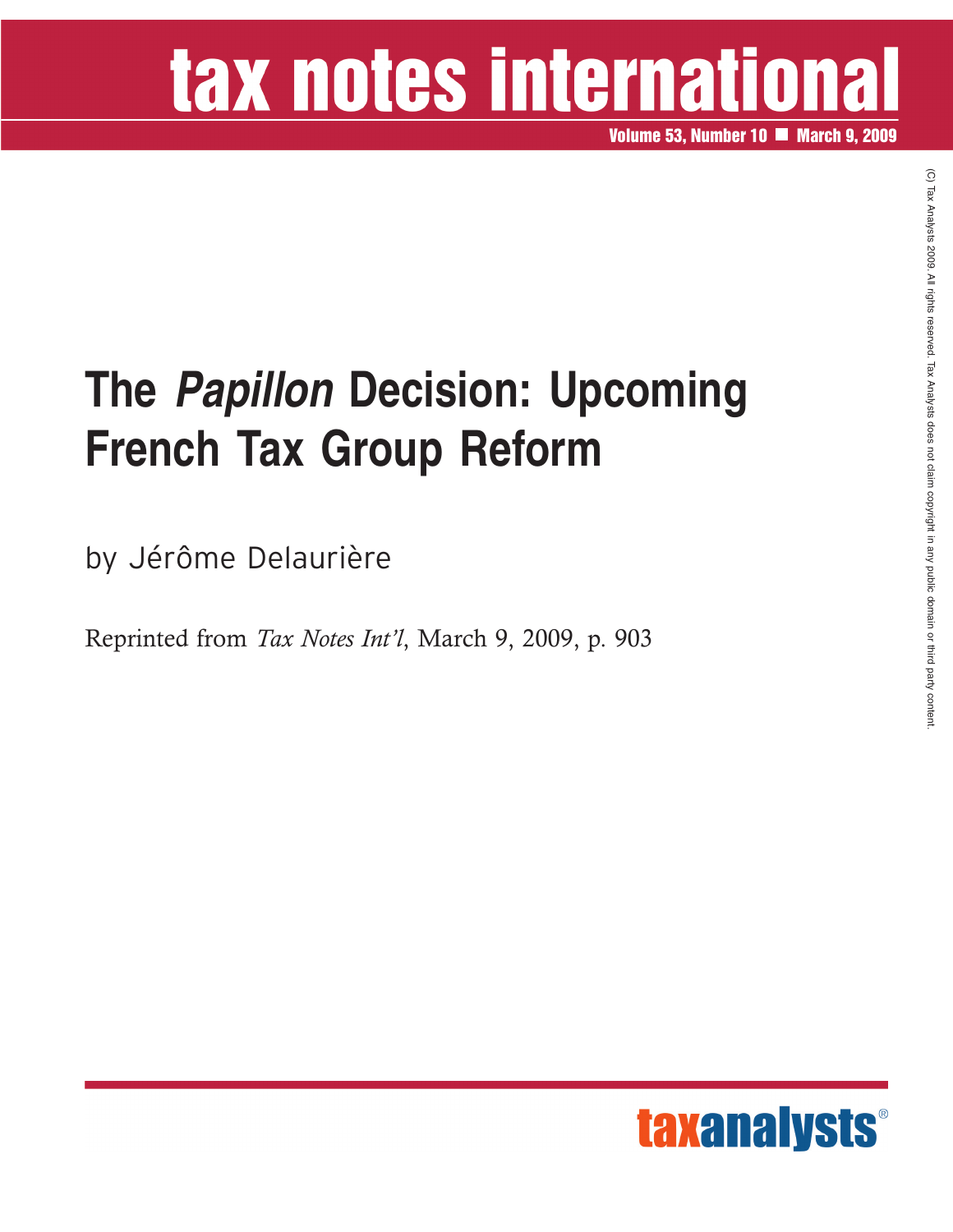# tax notes international

**Volume 53, Number 10 March 9, 2009**

## **The** *Papillon* **Decision: Upcoming French Tax Group Reform**

by Jérôme Delaurière

Reprinted from *Tax Notes Int'l*, March 9, 2009, p. 903

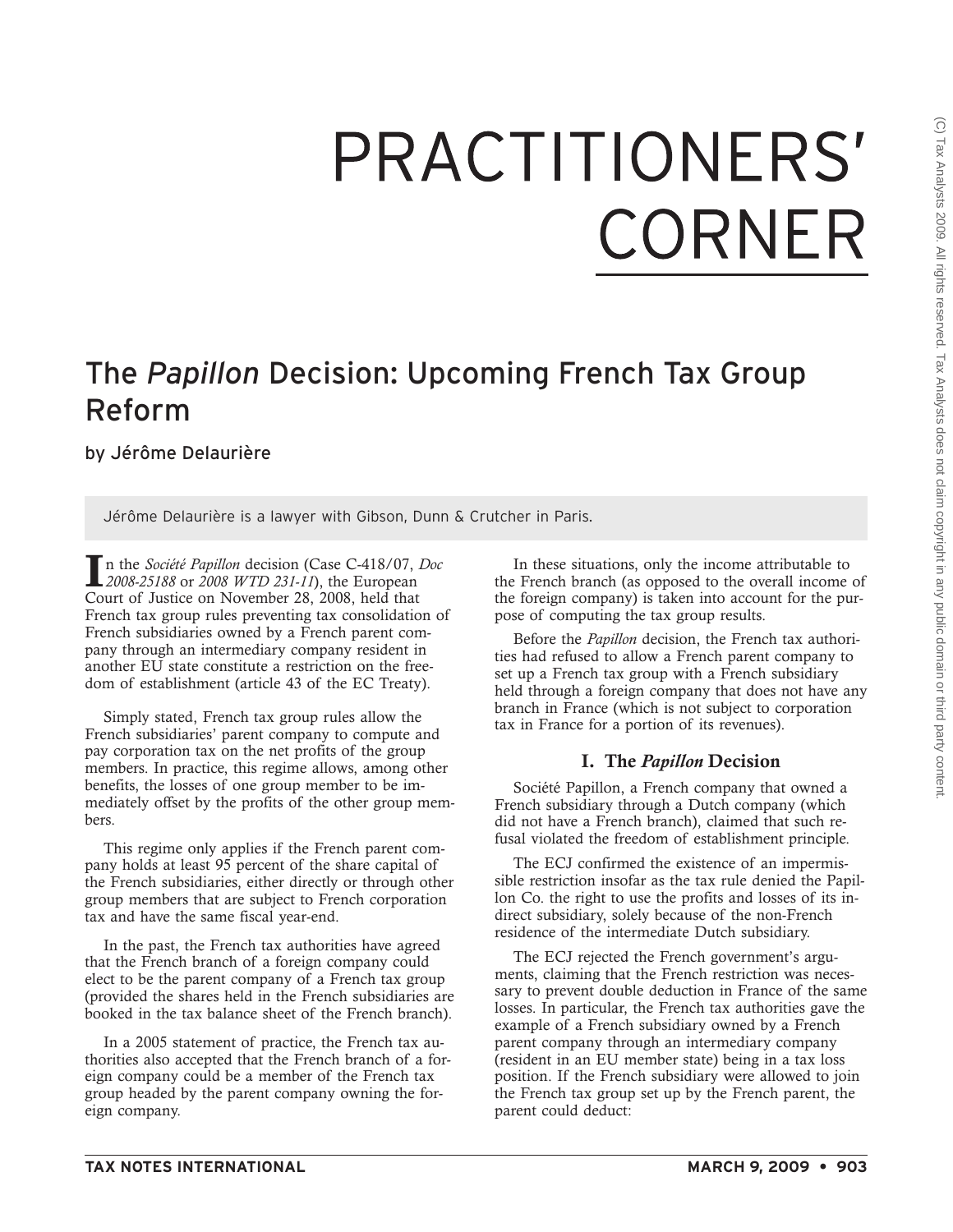## PRACTITIONERS' CORNER

## The *Papillon* Decision: Upcoming French Tax Group Reform

by Jérôme Delaurière

Jérôme Delaurière is a lawyer with Gibson, Dunn & Crutcher in Paris.

**I**n the *Société Papillon* decision (Case C-418/07, *Doc 2008-25188* or *2008 WTD 231-11*), the European Court of Justice on November 28, 2008, held that French tax group rules preventing tax consolidation of French subsidiaries owned by a French parent company through an intermediary company resident in another EU state constitute a restriction on the freedom of establishment (article 43 of the EC Treaty).

Simply stated, French tax group rules allow the French subsidiaries' parent company to compute and pay corporation tax on the net profits of the group members. In practice, this regime allows, among other benefits, the losses of one group member to be immediately offset by the profits of the other group members.

This regime only applies if the French parent company holds at least 95 percent of the share capital of the French subsidiaries, either directly or through other group members that are subject to French corporation tax and have the same fiscal year-end.

In the past, the French tax authorities have agreed that the French branch of a foreign company could elect to be the parent company of a French tax group (provided the shares held in the French subsidiaries are booked in the tax balance sheet of the French branch).

In a 2005 statement of practice, the French tax authorities also accepted that the French branch of a foreign company could be a member of the French tax group headed by the parent company owning the foreign company.

In these situations, only the income attributable to the French branch (as opposed to the overall income of the foreign company) is taken into account for the purpose of computing the tax group results.

Before the *Papillon* decision, the French tax authorities had refused to allow a French parent company to set up a French tax group with a French subsidiary held through a foreign company that does not have any branch in France (which is not subject to corporation tax in France for a portion of its revenues).

## **I. The** *Papillon* **Decision**

Société Papillon, a French company that owned a French subsidiary through a Dutch company (which did not have a French branch), claimed that such refusal violated the freedom of establishment principle.

The ECJ confirmed the existence of an impermissible restriction insofar as the tax rule denied the Papillon Co. the right to use the profits and losses of its indirect subsidiary, solely because of the non-French residence of the intermediate Dutch subsidiary.

The ECJ rejected the French government's arguments, claiming that the French restriction was necessary to prevent double deduction in France of the same losses. In particular, the French tax authorities gave the example of a French subsidiary owned by a French parent company through an intermediary company (resident in an EU member state) being in a tax loss position. If the French subsidiary were allowed to join the French tax group set up by the French parent, the parent could deduct: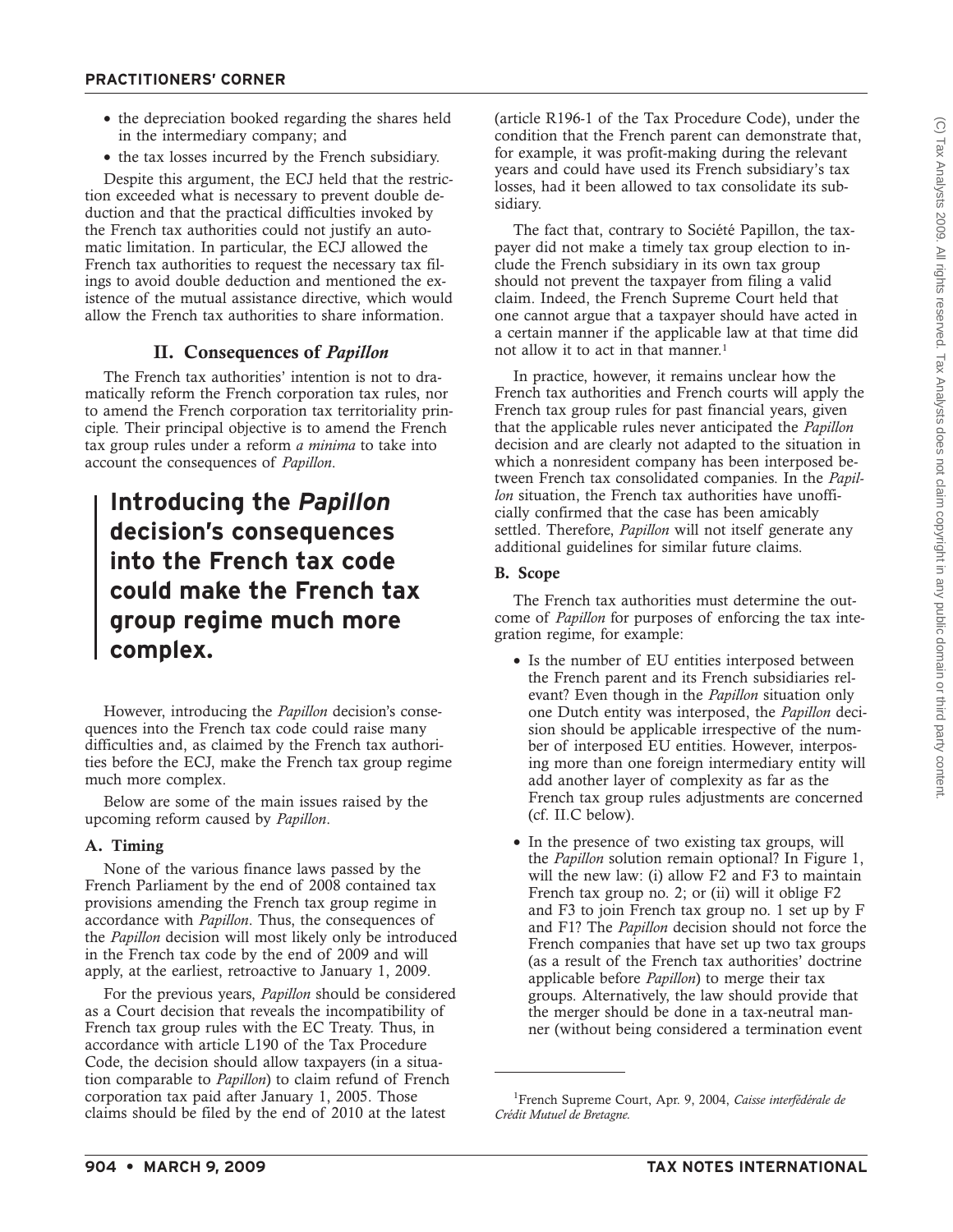- the depreciation booked regarding the shares held in the intermediary company; and
- the tax losses incurred by the French subsidiary.

Despite this argument, the ECJ held that the restriction exceeded what is necessary to prevent double deduction and that the practical difficulties invoked by the French tax authorities could not justify an automatic limitation. In particular, the ECJ allowed the French tax authorities to request the necessary tax filings to avoid double deduction and mentioned the existence of the mutual assistance directive, which would allow the French tax authorities to share information.

## **II. Consequences of** *Papillon*

The French tax authorities' intention is not to dramatically reform the French corporation tax rules, nor to amend the French corporation tax territoriality principle. Their principal objective is to amend the French tax group rules under a reform *a minima* to take into account the consequences of *Papillon*.

## **Introducing the** *Papillon* **decision's consequences into the French tax code could make the French tax group regime much more complex.**

However, introducing the *Papillon* decision's consequences into the French tax code could raise many difficulties and, as claimed by the French tax authorities before the ECJ, make the French tax group regime much more complex.

Below are some of the main issues raised by the upcoming reform caused by *Papillon*.

### **A. Timing**

None of the various finance laws passed by the French Parliament by the end of 2008 contained tax provisions amending the French tax group regime in accordance with *Papillon*. Thus, the consequences of the *Papillon* decision will most likely only be introduced in the French tax code by the end of 2009 and will apply, at the earliest, retroactive to January 1, 2009.

For the previous years, *Papillon* should be considered as a Court decision that reveals the incompatibility of French tax group rules with the EC Treaty. Thus, in accordance with article L190 of the Tax Procedure Code, the decision should allow taxpayers (in a situation comparable to *Papillon*) to claim refund of French corporation tax paid after January 1, 2005. Those claims should be filed by the end of 2010 at the latest

(article R196-1 of the Tax Procedure Code), under the condition that the French parent can demonstrate that, for example, it was profit-making during the relevant years and could have used its French subsidiary's tax losses, had it been allowed to tax consolidate its subsidiary.

The fact that, contrary to Société Papillon, the taxpayer did not make a timely tax group election to include the French subsidiary in its own tax group should not prevent the taxpayer from filing a valid claim. Indeed, the French Supreme Court held that one cannot argue that a taxpayer should have acted in a certain manner if the applicable law at that time did not allow it to act in that manner.<sup>1</sup>

In practice, however, it remains unclear how the French tax authorities and French courts will apply the French tax group rules for past financial years, given that the applicable rules never anticipated the *Papillon* decision and are clearly not adapted to the situation in which a nonresident company has been interposed between French tax consolidated companies. In the *Papillon* situation, the French tax authorities have unofficially confirmed that the case has been amicably settled. Therefore, *Papillon* will not itself generate any additional guidelines for similar future claims.

#### **B. Scope**

The French tax authorities must determine the outcome of *Papillon* for purposes of enforcing the tax integration regime, for example:

- Is the number of EU entities interposed between the French parent and its French subsidiaries relevant? Even though in the *Papillon* situation only one Dutch entity was interposed, the *Papillon* decision should be applicable irrespective of the number of interposed EU entities. However, interposing more than one foreign intermediary entity will add another layer of complexity as far as the French tax group rules adjustments are concerned (cf. II.C below).
- In the presence of two existing tax groups, will the *Papillon* solution remain optional? In Figure 1, will the new law: (i) allow F2 and F3 to maintain French tax group no. 2; or (ii) will it oblige F2 and F3 to join French tax group no. 1 set up by F and F1? The *Papillon* decision should not force the French companies that have set up two tax groups (as a result of the French tax authorities' doctrine applicable before *Papillon*) to merge their tax groups. Alternatively, the law should provide that the merger should be done in a tax-neutral manner (without being considered a termination event

<sup>1</sup> French Supreme Court, Apr. 9, 2004, *Caisse interfédérale de Crédit Mutuel de Bretagne.*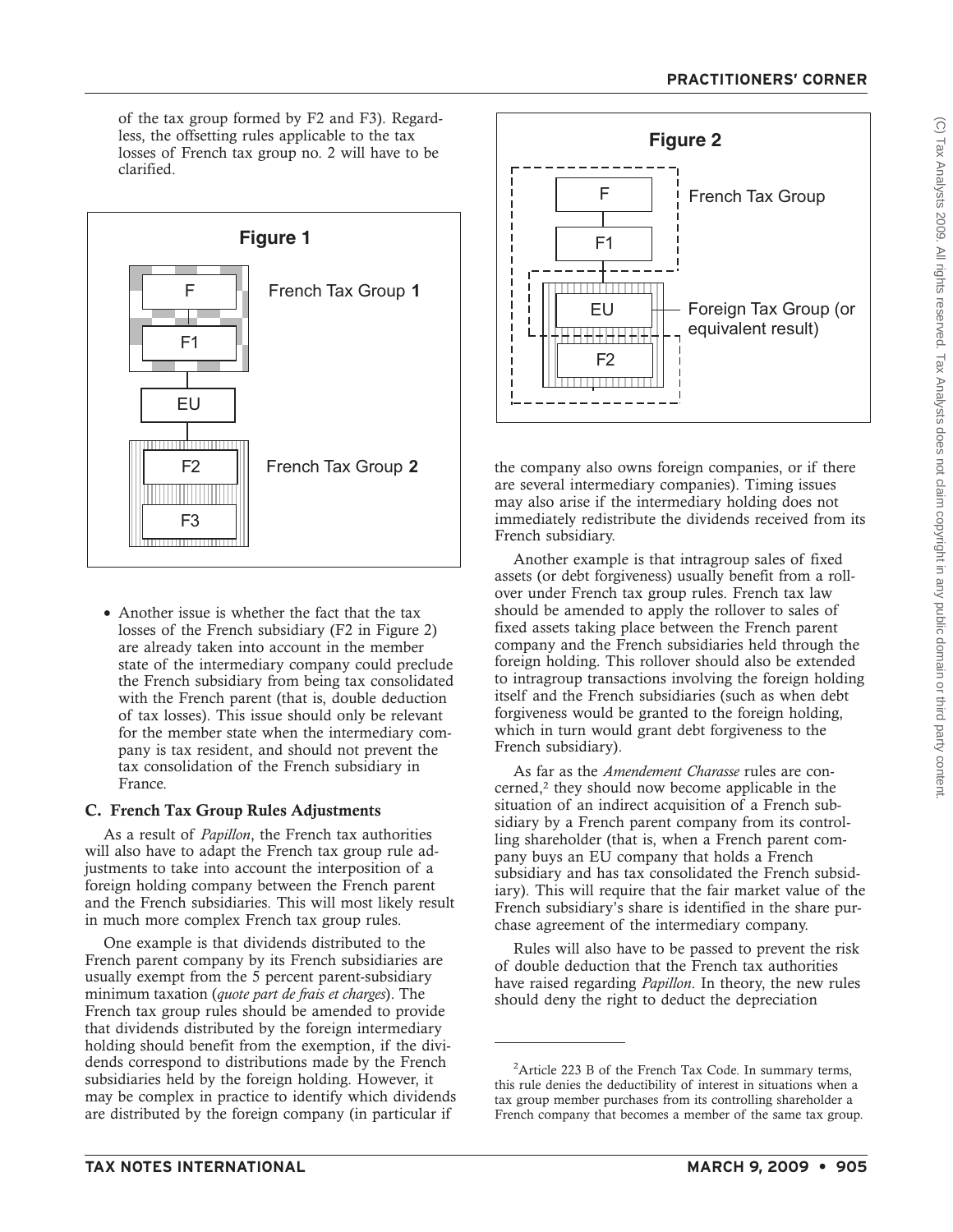of the tax group formed by F2 and F3). Regardless, the offsetting rules applicable to the tax losses of French tax group no. 2 will have to be clarified.



• Another issue is whether the fact that the tax losses of the French subsidiary (F2 in Figure 2) are already taken into account in the member state of the intermediary company could preclude the French subsidiary from being tax consolidated with the French parent (that is, double deduction of tax losses). This issue should only be relevant for the member state when the intermediary company is tax resident, and should not prevent the tax consolidation of the French subsidiary in France.

## **C. French Tax Group Rules Adjustments**

As a result of *Papillon*, the French tax authorities will also have to adapt the French tax group rule adjustments to take into account the interposition of a foreign holding company between the French parent and the French subsidiaries. This will most likely result in much more complex French tax group rules.

One example is that dividends distributed to the French parent company by its French subsidiaries are usually exempt from the 5 percent parent-subsidiary minimum taxation (*quote part de frais et charges*). The French tax group rules should be amended to provide that dividends distributed by the foreign intermediary holding should benefit from the exemption, if the dividends correspond to distributions made by the French subsidiaries held by the foreign holding. However, it may be complex in practice to identify which dividends are distributed by the foreign company (in particular if



the company also owns foreign companies, or if there are several intermediary companies). Timing issues may also arise if the intermediary holding does not immediately redistribute the dividends received from its French subsidiary.

Another example is that intragroup sales of fixed assets (or debt forgiveness) usually benefit from a rollover under French tax group rules. French tax law should be amended to apply the rollover to sales of fixed assets taking place between the French parent company and the French subsidiaries held through the foreign holding. This rollover should also be extended to intragroup transactions involving the foreign holding itself and the French subsidiaries (such as when debt forgiveness would be granted to the foreign holding, which in turn would grant debt forgiveness to the French subsidiary).

As far as the *Amendement Charasse* rules are concerned,2 they should now become applicable in the situation of an indirect acquisition of a French subsidiary by a French parent company from its controlling shareholder (that is, when a French parent company buys an EU company that holds a French subsidiary and has tax consolidated the French subsidiary). This will require that the fair market value of the French subsidiary's share is identified in the share purchase agreement of the intermediary company.

Rules will also have to be passed to prevent the risk of double deduction that the French tax authorities have raised regarding *Papillon*. In theory, the new rules should deny the right to deduct the depreciation

<sup>&</sup>lt;sup>2</sup>Article 223 B of the French Tax Code. In summary terms, this rule denies the deductibility of interest in situations when a tax group member purchases from its controlling shareholder a French company that becomes a member of the same tax group.